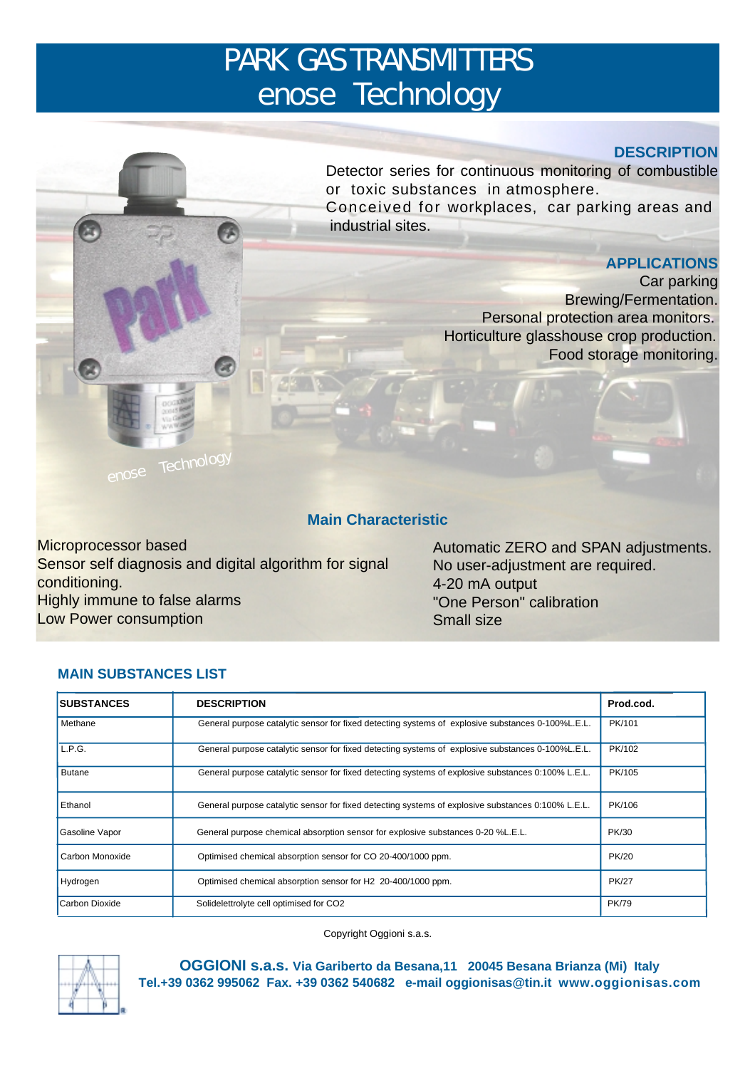# PARK GAS TRANSMITTERS enose<sup>®</sup> Technology

# **DESCRIPTION**

Detector series for continuous monitoring of combustible or toxic substances in atmosphere. Conceived for workplaces, car parking areas and industrial sites.

# **APPLICATIONS**

Car parking Brewing/Fermentation. Personal protection area monitors. Horticulture glasshouse crop production. Food storage monitoring.

# **Main Characteristic**

Microprocessor based Sensor self diagnosis and digital algorithm for signal conditioning. Highly immune to false alarms Low Power consumption

Automatic ZERO and SPAN adjustments. No user-adjustment are required. 4-20 mA output "One Person" calibration Small size

# **MAIN SUBSTANCES LIST**

enose<sup>®</sup> Technology

R

| <b>SUBSTANCES</b>                                                                                                   | <b>DESCRIPTION</b>                                                                                 | Prod.cod.    |
|---------------------------------------------------------------------------------------------------------------------|----------------------------------------------------------------------------------------------------|--------------|
| Methane                                                                                                             | General purpose catalytic sensor for fixed detecting systems of explosive substances 0-100%L.E.L.  |              |
| L.P.G.                                                                                                              | General purpose catalytic sensor for fixed detecting systems of explosive substances 0-100%L.E.L.  |              |
| <b>Butane</b><br>General purpose catalytic sensor for fixed detecting systems of explosive substances 0:100% L.E.L. |                                                                                                    | PK/105       |
| Ethanol                                                                                                             | General purpose catalytic sensor for fixed detecting systems of explosive substances 0:100% L.E.L. |              |
| Gasoline Vapor                                                                                                      | General purpose chemical absorption sensor for explosive substances 0-20 %L.E.L.                   |              |
| Carbon Monoxide                                                                                                     | Optimised chemical absorption sensor for CO 20-400/1000 ppm.                                       |              |
| Hydrogen                                                                                                            | Optimised chemical absorption sensor for H2 20-400/1000 ppm.                                       |              |
| Carbon Dioxide<br>Solidelettrolyte cell optimised for CO2                                                           |                                                                                                    | <b>PK/79</b> |

Copyright Oggioni s.a.s.



**OGGIONI s.a.s. Via Gariberto da Besana,11 20045 Besana Brianza (Mi) Italy Tel.+39 0362 995062 Fax. +39 0362 540682 e-mail oggionisas@tin.it www.oggionisas.com**